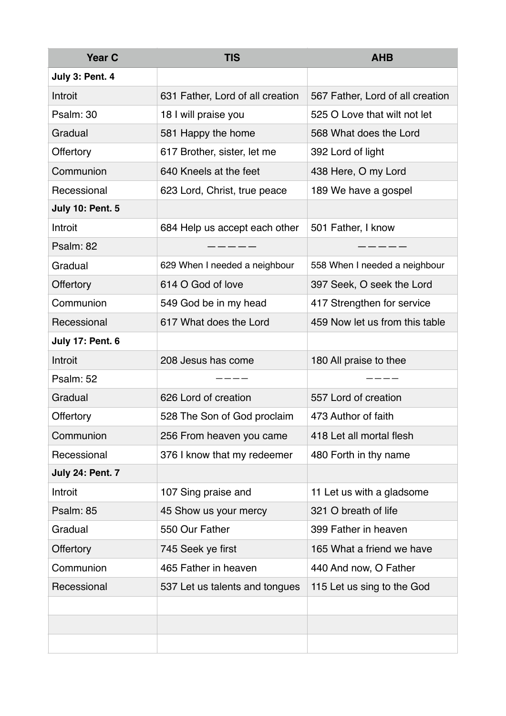| <b>Year C</b>           | <b>TIS</b>                       | <b>AHB</b>                       |
|-------------------------|----------------------------------|----------------------------------|
| July 3: Pent. 4         |                                  |                                  |
| Introit                 | 631 Father, Lord of all creation | 567 Father, Lord of all creation |
| Psalm: 30               | 18 I will praise you             | 525 O Love that wilt not let     |
| Gradual                 | 581 Happy the home               | 568 What does the Lord           |
| Offertory               | 617 Brother, sister, let me      | 392 Lord of light                |
| Communion               | 640 Kneels at the feet           | 438 Here, O my Lord              |
| Recessional             | 623 Lord, Christ, true peace     | 189 We have a gospel             |
| <b>July 10: Pent. 5</b> |                                  |                                  |
| Introit                 | 684 Help us accept each other    | 501 Father, I know               |
| Psalm: 82               |                                  |                                  |
| Gradual                 | 629 When I needed a neighbour    | 558 When I needed a neighbour    |
| Offertory               | 614 O God of love                | 397 Seek, O seek the Lord        |
| Communion               | 549 God be in my head            | 417 Strengthen for service       |
| Recessional             | 617 What does the Lord           | 459 Now let us from this table   |
| <b>July 17: Pent. 6</b> |                                  |                                  |
| Introit                 | 208 Jesus has come               | 180 All praise to thee           |
| Psalm: 52               |                                  |                                  |
| Gradual                 | 626 Lord of creation             | 557 Lord of creation             |
| Offertory               | 528 The Son of God proclaim      | 473 Author of faith              |
| Communion               | 256 From heaven you came         | 418 Let all mortal flesh         |
| Recessional             | 376 I know that my redeemer      | 480 Forth in thy name            |
| <b>July 24: Pent. 7</b> |                                  |                                  |
| Introit                 | 107 Sing praise and              | 11 Let us with a gladsome        |
| Psalm: 85               | 45 Show us your mercy            | 321 O breath of life             |
| Gradual                 | 550 Our Father                   | 399 Father in heaven             |
| <b>Offertory</b>        | 745 Seek ye first                | 165 What a friend we have        |
| Communion               | 465 Father in heaven             | 440 And now, O Father            |
| Recessional             | 537 Let us talents and tongues   | 115 Let us sing to the God       |
|                         |                                  |                                  |
|                         |                                  |                                  |
|                         |                                  |                                  |